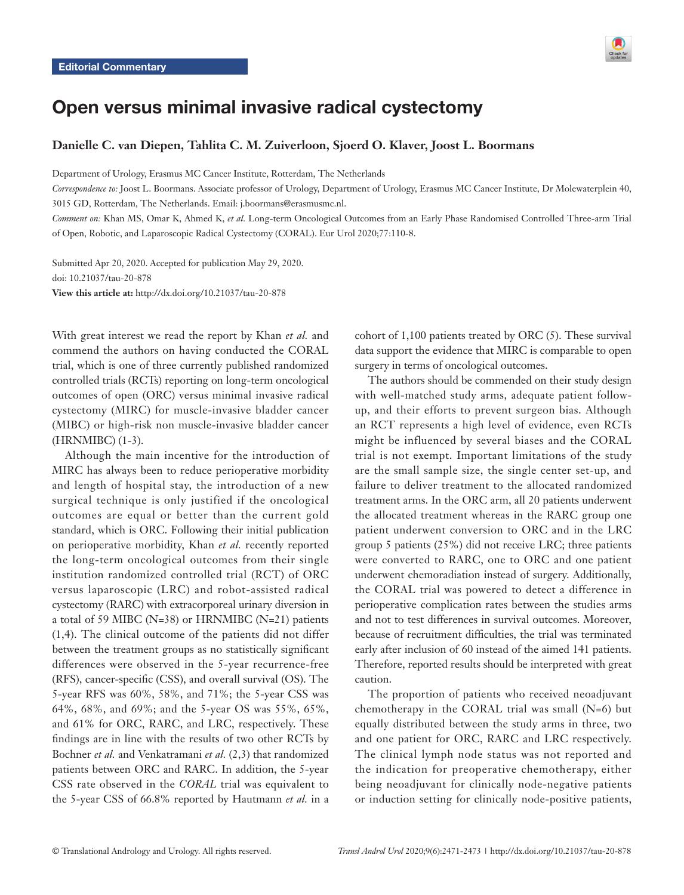

# Open versus minimal invasive radical cystectomy

# **Danielle C. van Diepen, Tahlita C. M. Zuiverloon, Sjoerd O. Klaver, Joost L. Boormans**

Department of Urology, Erasmus MC Cancer Institute, Rotterdam, The Netherlands

*Correspondence to:* Joost L. Boormans. Associate professor of Urology, Department of Urology, Erasmus MC Cancer Institute, Dr Molewaterplein 40, 3015 GD, Rotterdam, The Netherlands. Email: j.boormans@erasmusmc.nl.

*Comment on:* Khan MS, Omar K, Ahmed K, *et al.* Long-term Oncological Outcomes from an Early Phase Randomised Controlled Three-arm Trial of Open, Robotic, and Laparoscopic Radical Cystectomy (CORAL). Eur Urol 2020;77:110-8.

Submitted Apr 20, 2020. Accepted for publication May 29, 2020. doi: 10.21037/tau-20-878 **View this article at:** http://dx.doi.org/10.21037/tau-20-878

With great interest we read the report by Khan *et al.* and commend the authors on having conducted the CORAL trial, which is one of three currently published randomized controlled trials (RCTs) reporting on long-term oncological outcomes of open (ORC) versus minimal invasive radical cystectomy (MIRC) for muscle-invasive bladder cancer (MIBC) or high-risk non muscle-invasive bladder cancer (HRNMIBC) (1-3).

Although the main incentive for the introduction of MIRC has always been to reduce perioperative morbidity and length of hospital stay, the introduction of a new surgical technique is only justified if the oncological outcomes are equal or better than the current gold standard, which is ORC. Following their initial publication on perioperative morbidity, Khan *et al.* recently reported the long-term oncological outcomes from their single institution randomized controlled trial (RCT) of ORC versus laparoscopic (LRC) and robot-assisted radical cystectomy (RARC) with extracorporeal urinary diversion in a total of 59 MIBC (N=38) or HRNMIBC (N=21) patients (1,4). The clinical outcome of the patients did not differ between the treatment groups as no statistically significant differences were observed in the 5-year recurrence-free (RFS), cancer-specific (CSS), and overall survival (OS). The 5-year RFS was 60%, 58%, and 71%; the 5-year CSS was 64%, 68%, and 69%; and the 5-year OS was 55%, 65%, and 61% for ORC, RARC, and LRC, respectively. These findings are in line with the results of two other RCTs by Bochner *et al.* and Venkatramani *et al.* (2,3) that randomized patients between ORC and RARC. In addition, the 5-year CSS rate observed in the *CORAL* trial was equivalent to the 5-year CSS of 66.8% reported by Hautmann *et al.* in a

cohort of 1,100 patients treated by ORC (5). These survival data support the evidence that MIRC is comparable to open surgery in terms of oncological outcomes.

The authors should be commended on their study design with well-matched study arms, adequate patient followup, and their efforts to prevent surgeon bias. Although an RCT represents a high level of evidence, even RCTs might be influenced by several biases and the CORAL trial is not exempt. Important limitations of the study are the small sample size, the single center set-up, and failure to deliver treatment to the allocated randomized treatment arms. In the ORC arm, all 20 patients underwent the allocated treatment whereas in the RARC group one patient underwent conversion to ORC and in the LRC group 5 patients (25%) did not receive LRC; three patients were converted to RARC, one to ORC and one patient underwent chemoradiation instead of surgery. Additionally, the CORAL trial was powered to detect a difference in perioperative complication rates between the studies arms and not to test differences in survival outcomes. Moreover, because of recruitment difficulties, the trial was terminated early after inclusion of 60 instead of the aimed 141 patients. Therefore, reported results should be interpreted with great caution.

The proportion of patients who received neoadjuvant chemotherapy in the CORAL trial was small  $(N=6)$  but equally distributed between the study arms in three, two and one patient for ORC, RARC and LRC respectively. The clinical lymph node status was not reported and the indication for preoperative chemotherapy, either being neoadjuvant for clinically node-negative patients or induction setting for clinically node-positive patients,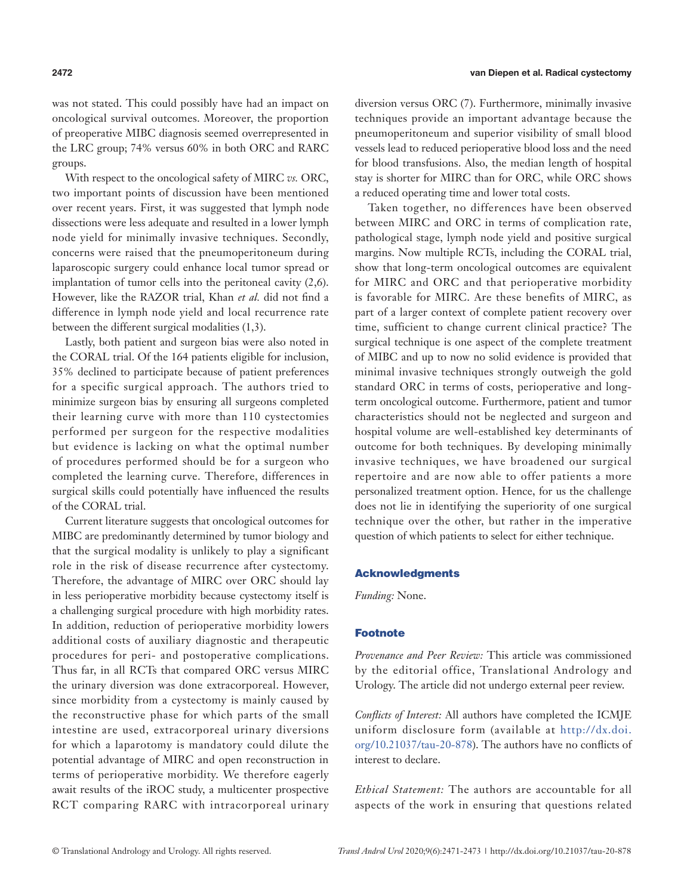was not stated. This could possibly have had an impact on oncological survival outcomes. Moreover, the proportion of preoperative MIBC diagnosis seemed overrepresented in the LRC group; 74% versus 60% in both ORC and RARC groups.

With respect to the oncological safety of MIRC *vs.* ORC, two important points of discussion have been mentioned over recent years. First, it was suggested that lymph node dissections were less adequate and resulted in a lower lymph node yield for minimally invasive techniques. Secondly, concerns were raised that the pneumoperitoneum during laparoscopic surgery could enhance local tumor spread or implantation of tumor cells into the peritoneal cavity (2,6). However, like the RAZOR trial, Khan *et al.* did not find a difference in lymph node yield and local recurrence rate between the different surgical modalities (1,3).

Lastly, both patient and surgeon bias were also noted in the CORAL trial. Of the 164 patients eligible for inclusion, 35% declined to participate because of patient preferences for a specific surgical approach. The authors tried to minimize surgeon bias by ensuring all surgeons completed their learning curve with more than 110 cystectomies performed per surgeon for the respective modalities but evidence is lacking on what the optimal number of procedures performed should be for a surgeon who completed the learning curve. Therefore, differences in surgical skills could potentially have influenced the results of the CORAL trial.

Current literature suggests that oncological outcomes for MIBC are predominantly determined by tumor biology and that the surgical modality is unlikely to play a significant role in the risk of disease recurrence after cystectomy. Therefore, the advantage of MIRC over ORC should lay in less perioperative morbidity because cystectomy itself is a challenging surgical procedure with high morbidity rates. In addition, reduction of perioperative morbidity lowers additional costs of auxiliary diagnostic and therapeutic procedures for peri- and postoperative complications. Thus far, in all RCTs that compared ORC versus MIRC the urinary diversion was done extracorporeal. However, since morbidity from a cystectomy is mainly caused by the reconstructive phase for which parts of the small intestine are used, extracorporeal urinary diversions for which a laparotomy is mandatory could dilute the potential advantage of MIRC and open reconstruction in terms of perioperative morbidity. We therefore eagerly await results of the iROC study, a multicenter prospective RCT comparing RARC with intracorporeal urinary diversion versus ORC (7). Furthermore, minimally invasive techniques provide an important advantage because the pneumoperitoneum and superior visibility of small blood vessels lead to reduced perioperative blood loss and the need for blood transfusions. Also, the median length of hospital stay is shorter for MIRC than for ORC, while ORC shows a reduced operating time and lower total costs.

Taken together, no differences have been observed between MIRC and ORC in terms of complication rate, pathological stage, lymph node yield and positive surgical margins. Now multiple RCTs, including the CORAL trial, show that long-term oncological outcomes are equivalent for MIRC and ORC and that perioperative morbidity is favorable for MIRC. Are these benefits of MIRC, as part of a larger context of complete patient recovery over time, sufficient to change current clinical practice? The surgical technique is one aspect of the complete treatment of MIBC and up to now no solid evidence is provided that minimal invasive techniques strongly outweigh the gold standard ORC in terms of costs, perioperative and longterm oncological outcome. Furthermore, patient and tumor characteristics should not be neglected and surgeon and hospital volume are well-established key determinants of outcome for both techniques. By developing minimally invasive techniques, we have broadened our surgical repertoire and are now able to offer patients a more personalized treatment option. Hence, for us the challenge does not lie in identifying the superiority of one surgical technique over the other, but rather in the imperative question of which patients to select for either technique.

#### Acknowledgments

*Funding:* None.

## Footnote

*Provenance and Peer Review:* This article was commissioned by the editorial office, Translational Andrology and Urology. The article did not undergo external peer review.

*Conflicts of Interest:* All authors have completed the ICMJE uniform disclosure form (available at [http://dx.doi.](http://dx.doi.org/10.21037/tau-20-878) [org/10.21037/tau-20-878](http://dx.doi.org/10.21037/tau-20-878)). The authors have no conflicts of interest to declare.

*Ethical Statement:* The authors are accountable for all aspects of the work in ensuring that questions related